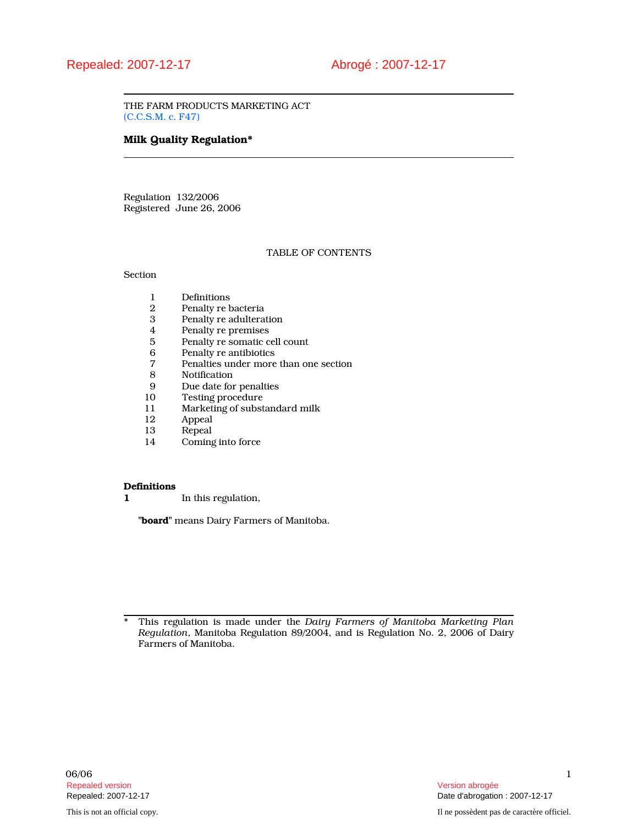THE FARM PRODUCTS MARKETING ACT (C.C.S.M. c. F47)

# Milk Quality Regulation\*

Regulation 132/2006 Registered June 26, 2006

### TABLE OF CONTENTS

**Section** 

- 1 Definitions<br>2 Penalty re b
- Penalty re bacteria
- 3 Penalty re adulteration<br>4 Penalty re premises
- 4 Penalty re premises<br>5 Penalty re somatic c
- 5 Penalty re somatic cell count<br>6 Penalty re antibiotics
- 6 Penalty re antibiotics<br>
7 Penalties under more
- 7 Penalties under more than one section
- 8 Notification<br>9 Due date for
- 9 Due date for penalties<br>10 Testing procedure
- 10 Testing procedure<br>11 Marketing of subst
- 11 Marketing of substandard milk<br>12 Appeal
- 12 Appeal<br>13 Repeal
- Repeal
- 14 Coming into force

#### **Definitions**

1 In this regulation,

"board" means Dairy Farmers of Manitoba.

\* This regulation is made under the Dairy Farmers of Manitoba Marketing Plan Regulation, Manitoba Regulation 89/2004, and is Regulation No. 2, 2006 of Dairy Farmers of Manitoba.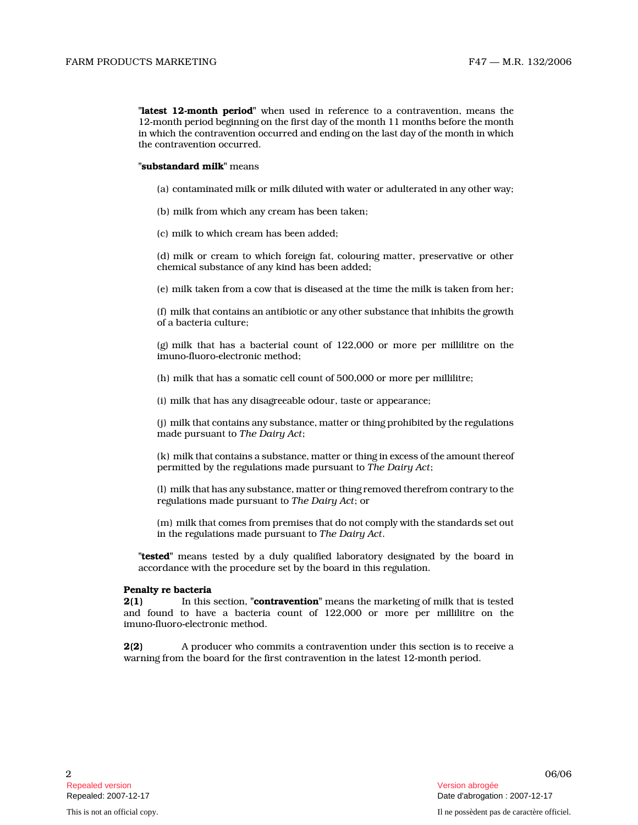"**latest 12-month period**" when used in reference to a contravention, means the 12-month period beginning on the first day of the month 11 months before the month in which the contravention occurred and ending on the last day of the month in which the contravention occurred.

## "substandard milk" means

- (a) contaminated milk or milk diluted with water or adulterated in any other way;
- (b) milk from which any cream has been taken;
- (c) milk to which cream has been added;

(d) milk or cream to which foreign fat, colouring matter, preservative or other chemical substance of any kind has been added;

(e) milk taken from a cow that is diseased at the time the milk is taken from her;

(f) milk that contains an antibiotic or any other substance that inhibits the growth of a bacteria culture;

(g) milk that has a bacterial count of 122,000 or more per millilitre on the imuno-fluoro-electronic method;

(h) milk that has a somatic cell count of 500,000 or more per millilitre;

(i) milk that has any disagreeable odour, taste or appearance;

(j) milk that contains any substance, matter or thing prohibited by the regulations made pursuant to The Dairy Act ;

(k) milk that contains a substance, matter or thing in excess of the amount thereof permitted by the regulations made pursuant to The Dairy Act;

(l) milk that has any substance, matter or thing removed therefrom contrary to the regulations made pursuant to The Dairy Act; or

(m) milk that comes from premises that do not comply with the standards set out in the regulations made pursuant to The Dairy Act .

"tested" means tested by a duly qualified laboratory designated by the board in accordance with the procedure set by the board in this regulation.

#### Penalty re bacteria

2(1) In this section, "**contravention**" means the marketing of milk that is tested and found to have a bacteria count of 122,000 or more per millilitre on the imuno-fluoro-electronic method.

2(2) A producer who commits a contravention under this section is to receive a warning from the board for the first contravention in the latest 12-month period.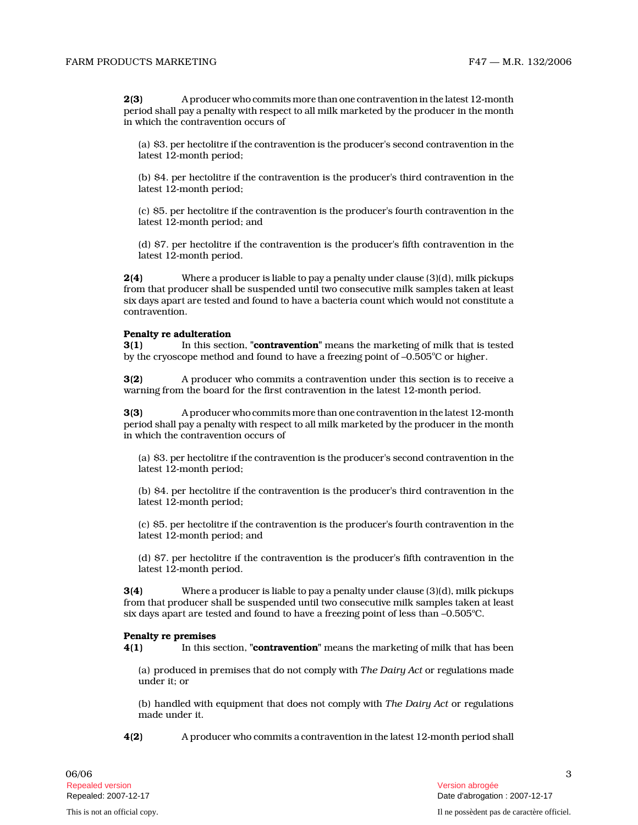2(3) A producer who commits more than one contravention in the latest 12-month period shall pay a penalty with respect to all milk marketed by the producer in the month in which the contravention occurs of

(a) \$3. per hectolitre if the contravention is the producer's second contravention in the latest 12-month period;

(b) \$4. per hectolitre if the contravention is the producer's third contravention in the latest 12-month period;

(c) \$5. per hectolitre if the contravention is the producer's fourth contravention in the latest 12-month period; and

(d) \$7. per hectolitre if the contravention is the producer's fifth contravention in the latest 12-month period.

2(4) Where a producer is liable to pay a penalty under clause (3)(d), milk pickups from that producer shall be suspended until two consecutive milk samples taken at least six days apart are tested and found to have a bacteria count which would not constitute a contravention.

#### Penalty re adulteration

**3(1)** In this section, "**contravention**" means the marketing of milk that is tested by the cryoscope method and found to have a freezing point of –0.505°C or higher.

3(2) A producer who commits a contravention under this section is to receive a warning from the board for the first contravention in the latest 12-month period.

3(3) A producer who commits more than one contravention in the latest 12-month period shall pay a penalty with respect to all milk marketed by the producer in the month in which the contravention occurs of

(a) \$3. per hectolitre if the contravention is the producer's second contravention in the latest 12-month period;

(b) \$4. per hectolitre if the contravention is the producer's third contravention in the latest 12-month period;

(c) \$5. per hectolitre if the contravention is the producer's fourth contravention in the latest 12-month period; and

(d) \$7. per hectolitre if the contravention is the producer's fifth contravention in the latest 12-month period.

3(4) Where a producer is liable to pay a penalty under clause (3)(d), milk pickups from that producer shall be suspended until two consecutive milk samples taken at least six days apart are tested and found to have a freezing point of less than  $-0.505^{\circ}$ C.

#### Penalty re premises

4(1) In this section, "**contravention**" means the marketing of milk that has been

(a) produced in premises that do not comply with The Dairy Act or regulations made under it; or

(b) handled with equipment that does not comply with The Dairy Act or regulations made under it.

4(2) A producer who commits a contravention in the latest 12-month period shall

3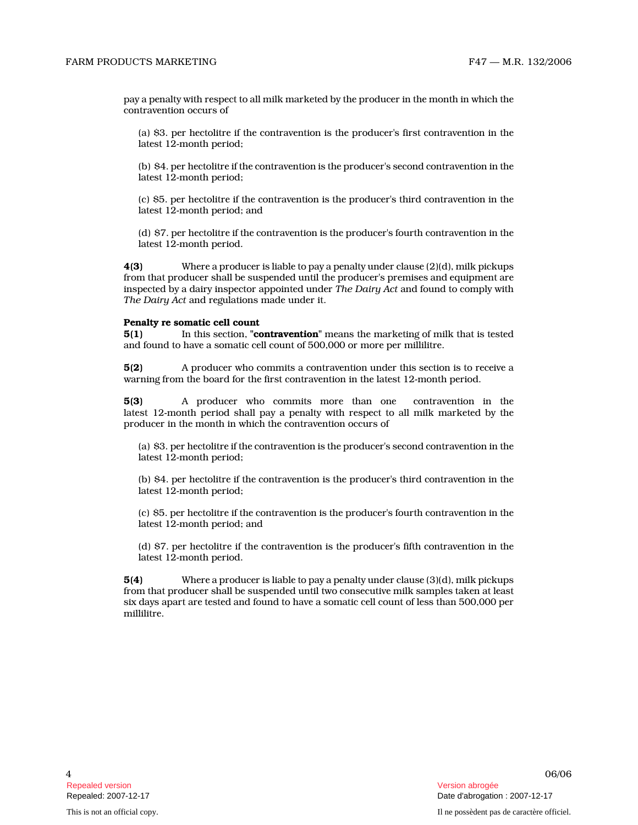pay a penalty with respect to all milk marketed by the producer in the month in which the contravention occurs of

(a) \$3. per hectolitre if the contravention is the producer's first contravention in the latest 12-month period;

(b) \$4. per hectolitre if the contravention is the producer's second contravention in the latest 12-month period;

(c) \$5. per hectolitre if the contravention is the producer's third contravention in the latest 12-month period; and

(d) \$7. per hectolitre if the contravention is the producer's fourth contravention in the latest 12-month period.

**4(3)** Where a producer is liable to pay a penalty under clause  $(2)(d)$ , milk pickups from that producer shall be suspended until the producer's premises and equipment are inspected by a dairy inspector appointed under The Dairy Act and found to comply with The Dairy Act and regulations made under it.

#### Penalty re somatic cell count

**5(1)** In this section, "**contravention**" means the marketing of milk that is tested and found to have a somatic cell count of 500,000 or more per millilitre.

5(2) A producer who commits a contravention under this section is to receive a warning from the board for the first contravention in the latest 12-month period.

5(3) A producer who commits more than one contravention in the latest 12-month period shall pay a penalty with respect to all milk marketed by the producer in the month in which the contravention occurs of

(a) \$3. per hectolitre if the contravention is the producer's second contravention in the latest 12-month period;

(b) \$4. per hectolitre if the contravention is the producer's third contravention in the latest 12-month period;

(c) \$5. per hectolitre if the contravention is the producer's fourth contravention in the latest 12-month period; and

(d) \$7. per hectolitre if the contravention is the producer's fifth contravention in the latest 12-month period.

5(4) Where a producer is liable to pay a penalty under clause (3)(d), milk pickups from that producer shall be suspended until two consecutive milk samples taken at least six days apart are tested and found to have a somatic cell count of less than 500,000 per millilitre.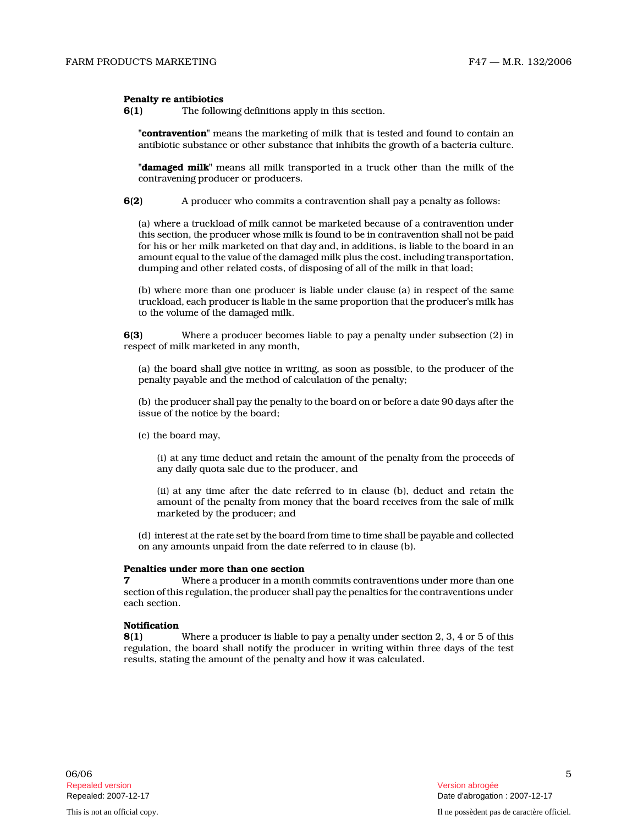### Penalty re antibiotics

6(1) The following definitions apply in this section.

"**contravention**" means the marketing of milk that is tested and found to contain an antibiotic substance or other substance that inhibits the growth of a bacteria culture.

"damaged milk" means all milk transported in a truck other than the milk of the contravening producer or producers.

6(2) A producer who commits a contravention shall pay a penalty as follows:

(a) where a truckload of milk cannot be marketed because of a contravention under this section, the producer whose milk is found to be in contravention shall not be paid for his or her milk marketed on that day and, in additions, is liable to the board in an amount equal to the value of the damaged milk plus the cost, including transportation, dumping and other related costs, of disposing of all of the milk in that load;

(b) where more than one producer is liable under clause (a) in respect of the same truckload, each producer is liable in the same proportion that the producer's milk has to the volume of the damaged milk.

6(3) Where a producer becomes liable to pay a penalty under subsection (2) in respect of milk marketed in any month,

(a) the board shall give notice in writing, as soon as possible, to the producer of the penalty payable and the method of calculation of the penalty;

(b) the producer shall pay the penalty to the board on or before a date 90 days after the issue of the notice by the board;

(c) the board may,

(i) at any time deduct and retain the amount of the penalty from the proceeds of any daily quota sale due to the producer, and

(ii) at any time after the date referred to in clause (b), deduct and retain the amount of the penalty from money that the board receives from the sale of milk marketed by the producer; and

(d) interest at the rate set by the board from time to time shall be payable and collected on any amounts unpaid from the date referred to in clause (b).

#### Penalties under more than one section

Where a producer in a month commits contraventions under more than one section of this regulation, the producer shall pay the penalties for the contraventions under each section.

# Notification

8(1) Where a producer is liable to pay a penalty under section 2, 3, 4 or 5 of this regulation, the board shall notify the producer in writing within three days of the test results, stating the amount of the penalty and how it was calculated.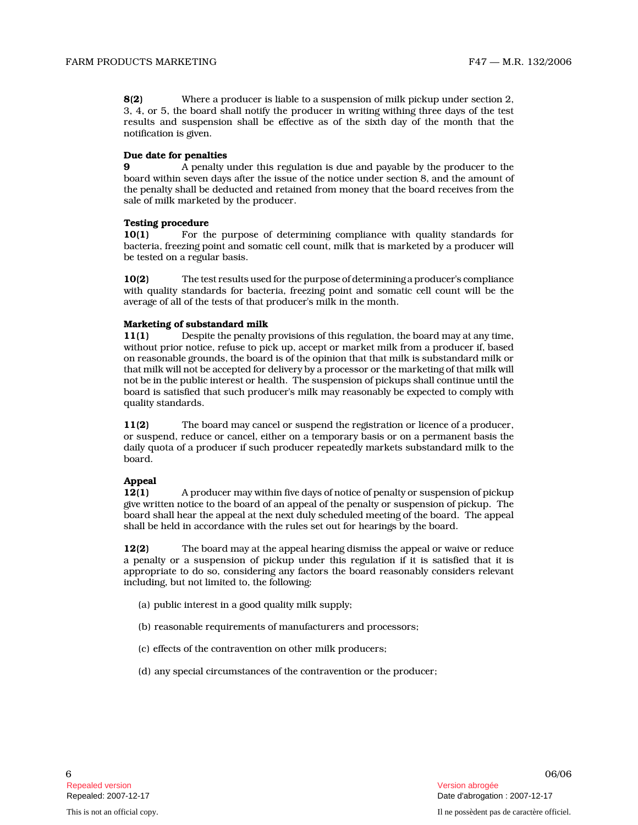8(2) Where a producer is liable to a suspension of milk pickup under section 2, 3, 4, or 5, the board shall notify the producer in writing withing three days of the test results and suspension shall be effective as of the sixth day of the month that the notification is given.

## Due date for penalties

9 A penalty under this regulation is due and payable by the producer to the board within seven days after the issue of the notice under section 8, and the amount of the penalty shall be deducted and retained from money that the board receives from the sale of milk marketed by the producer.

## Testing procedure

10(1) For the purpose of determining compliance with quality standards for bacteria, freezing point and somatic cell count, milk that is marketed by a producer will be tested on a regular basis.

10(2) The test results used for the purpose of determining a producer's compliance with quality standards for bacteria, freezing point and somatic cell count will be the average of all of the tests of that producer's milk in the month.

## Marketing of substandard milk

11(1) Despite the penalty provisions of this regulation, the board may at any time, without prior notice, refuse to pick up, accept or market milk from a producer if, based on reasonable grounds, the board is of the opinion that that milk is substandard milk or that milk will not be accepted for delivery by a processor or the marketing of that milk will not be in the public interest or health. The suspension of pickups shall continue until the board is satisfied that such producer's milk may reasonably be expected to comply with quality standards.

11(2) The board may cancel or suspend the registration or licence of a producer, or suspend, reduce or cancel, either on a temporary basis or on a permanent basis the daily quota of a producer if such producer repeatedly markets substandard milk to the board.

# Appeal

12(1) A producer may within five days of notice of penalty or suspension of pickup give written notice to the board of an appeal of the penalty or suspension of pickup. The board shall hear the appeal at the next duly scheduled meeting of the board. The appeal shall be held in accordance with the rules set out for hearings by the board.

12(2) The board may at the appeal hearing dismiss the appeal or waive or reduce a penalty or a suspension of pickup under this regulation if it is satisfied that it is appropriate to do so, considering any factors the board reasonably considers relevant including, but not limited to, the following:

- (a) public interest in a good quality milk supply;
- (b) reasonable requirements of manufacturers and processors;
- (c) effects of the contravention on other milk producers;
- (d) any special circumstances of the contravention or the producer;